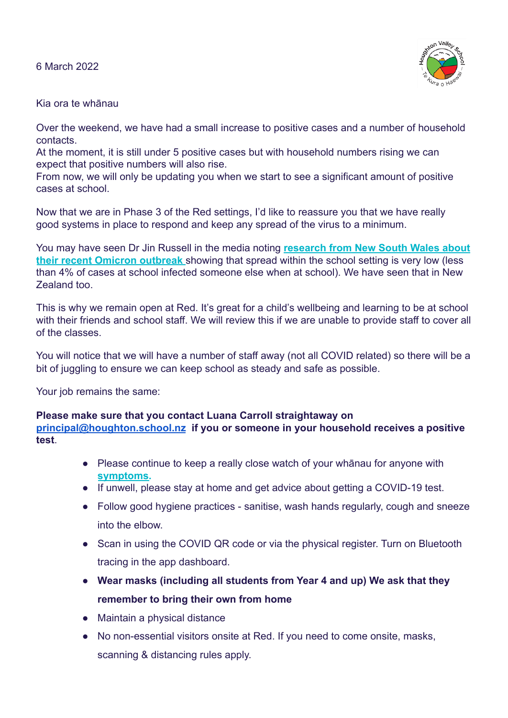6 March 2022



## Kia ora te whānau

Over the weekend, we have had a small increase to positive cases and a number of household contacts.

At the moment, it is still under 5 positive cases but with household numbers rising we can expect that positive numbers will also rise.

From now, we will only be updating you when we start to see a significant amount of positive cases at school.

Now that we are in Phase 3 of the Red settings, I'd like to reassure you that we have really good systems in place to respond and keep any spread of the virus to a minimum.

You may have seen Dr Jin Russell in the media noting **[research from New South Wales about](https://www.ncirs.org.au/sites/default/files/2022-02/NCIRS_NSW_Schools_COVID_Summary_Term_4_2021_Report%20-%2018-02-2022_FINAL_1.pdf) [their recent Omicron outbreak](https://www.ncirs.org.au/sites/default/files/2022-02/NCIRS_NSW_Schools_COVID_Summary_Term_4_2021_Report%20-%2018-02-2022_FINAL_1.pdf)** showing that spread within the school setting is very low (less than 4% of cases at school infected someone else when at school). We have seen that in New Zealand too.

This is why we remain open at Red. It's great for a child's wellbeing and learning to be at school with their friends and school staff. We will review this if we are unable to provide staff to cover all of the classes.

You will notice that we will have a number of staff away (not all COVID related) so there will be a bit of juggling to ensure we can keep school as steady and safe as possible.

Your job remains the same:

## **Please make sure that you contact Luana Carroll straightaway on**

**[principal@houghton.school.nz](mailto:principal@houghton.school.nz) if you or someone in your household receives a positive test**.

- Please continue to keep a really close watch of your whānau for anyone with **[symptoms.](https://www.health.govt.nz/covid-19-novel-coronavirus/covid-19-health-advice-public/advice-people-covid-19)**
- If unwell, please stay at home and get advice about getting a COVID-19 test.
- Follow good hygiene practices sanitise, wash hands regularly, cough and sneeze into the elbow.
- Scan in using the COVID QR code or via the physical register. Turn on Bluetooth tracing in the app dashboard.
- **● Wear masks (including all students from Year 4 and up) We ask that they remember to bring their own from home**
- Maintain a physical distance
- No non-essential visitors onsite at Red. If you need to come onsite, masks, scanning & distancing rules apply.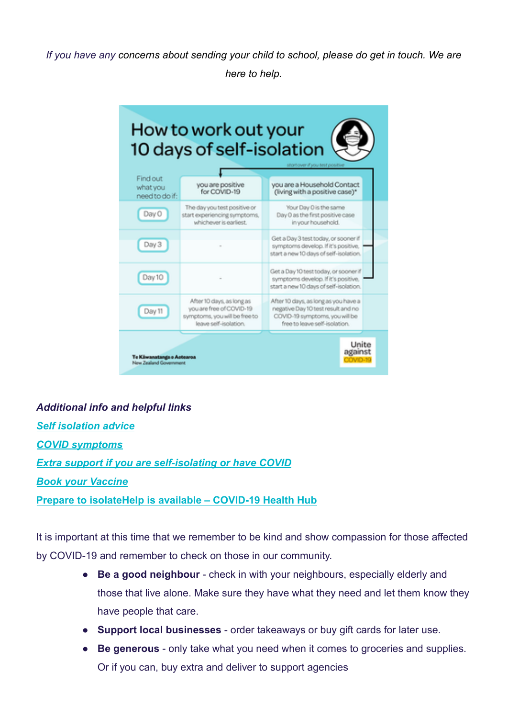*If you have any concerns about sending your child to school, please do get in touch. We are here to help.*



*Additional info and helpful links [Self isolation advice](https://www.health.govt.nz/covid-19-novel-coronavirus/covid-19-health-advice-public/advice-people-covid-19) [COVID symptoms](https://www.health.govt.nz/covid-19-novel-coronavirus/covid-19-health-advice-public/advice-people-covid-19) [Extra support if you are self-isolating or have COVID](https://covid19.govt.nz/isolation-and-care/help-when-you-are-self-isolating/) [Book your Vaccine](https://bookmyvaccine.covid19.health.nz/)* **[Prepare to isolateHelp is available – COVID-19 Health Hub](https://covid19.health.nz/advice/help-available)**

It is important at this time that we remember to be kind and show compassion for those affected by COVID-19 and remember to check on those in our community.

- **Be a good neighbour** check in with your neighbours, especially elderly and those that live alone. Make sure they have what they need and let them know they have people that care.
- **Support local businesses** order takeaways or buy gift cards for later use.
- **Be generous** only take what you need when it comes to groceries and supplies. Or if you can, buy extra and deliver to support agencies